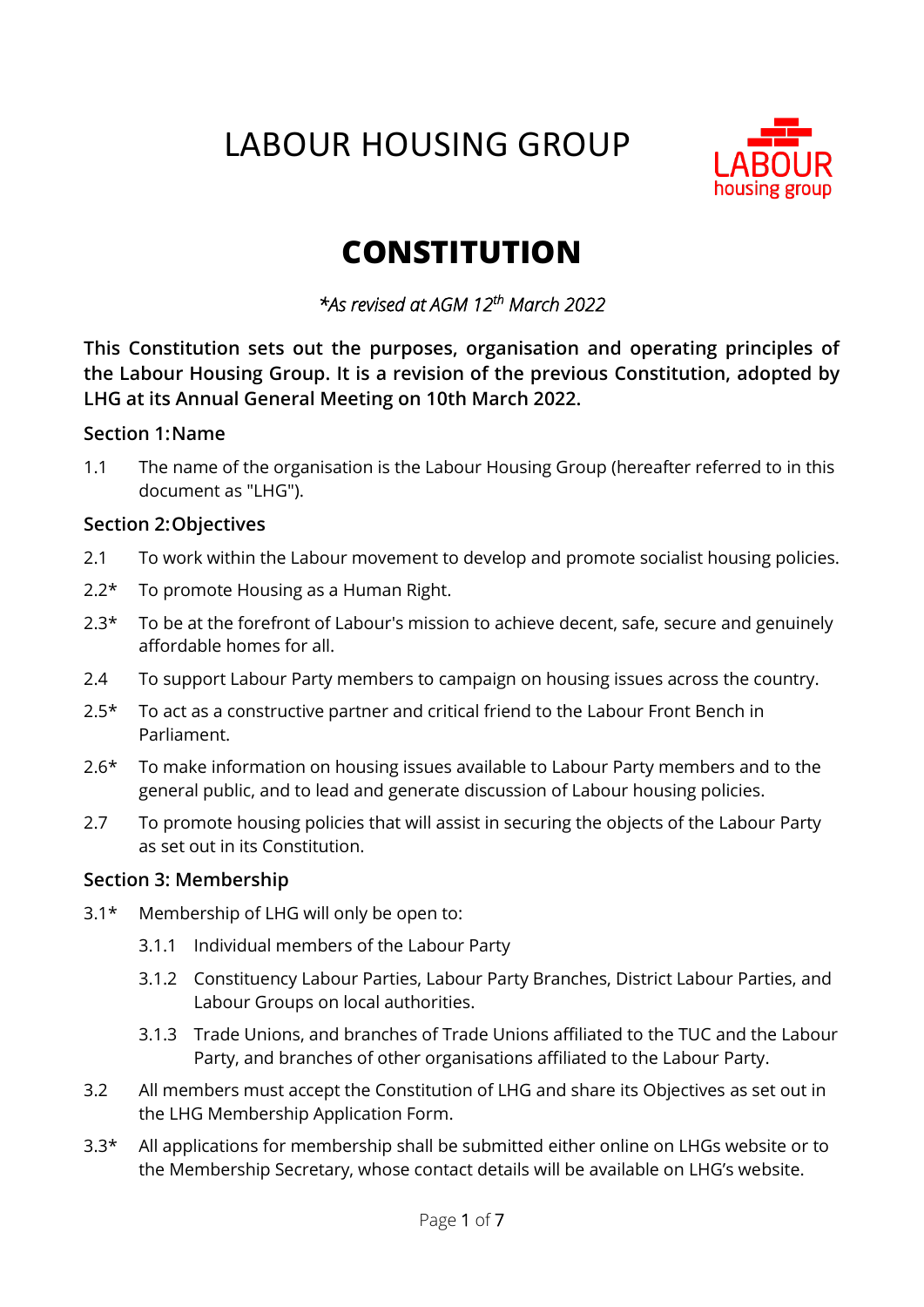# LABOUR HOUSING GROUP



# **CONSTITUTION**

*\*As revised at AGM 12th March 2022* 

**This Constitution sets out the purposes, organisation and operating principles of the Labour Housing Group. It is a revision of the previous Constitution, adopted by LHG at its Annual General Meeting on 10th March 2022.**

#### **Section 1:Name**

1.1 The name of the organisation is the Labour Housing Group (hereafter referred to in this document as "LHG").

#### **Section 2:Objectives**

- 2.1 To work within the Labour movement to develop and promote socialist housing policies.
- 2.2\* To promote Housing as a Human Right.
- $2.3*$  To be at the forefront of Labour's mission to achieve decent, safe, secure and genuinely affordable homes for all.
- 2.4 To support Labour Party members to campaign on housing issues across the country.
- 2.5\* To act as a constructive partner and critical friend to the Labour Front Bench in Parliament.
- 2.6<sup>\*</sup> To make information on housing issues available to Labour Party members and to the general public, and to lead and generate discussion of Labour housing policies.
- 2.7 To promote housing policies that will assist in securing the objects of the Labour Party as set out in its Constitution.

# **Section 3: Membership**

- 3.1\* Membership of LHG will only be open to:
	- 3.1.1 Individual members of the Labour Party
	- 3.1.2 Constituency Labour Parties, Labour Party Branches, District Labour Parties, and Labour Groups on local authorities.
	- 3.1.3 Trade Unions, and branches of Trade Unions affiliated to the TUC and the Labour Party, and branches of other organisations affiliated to the Labour Party.
- 3.2 All members must accept the Constitution of LHG and share its Objectives as set out in the LHG Membership Application Form.
- 3.3\* All applications for membership shall be submitted either online on LHGs website or to the Membership Secretary, whose contact details will be available on LHG's website.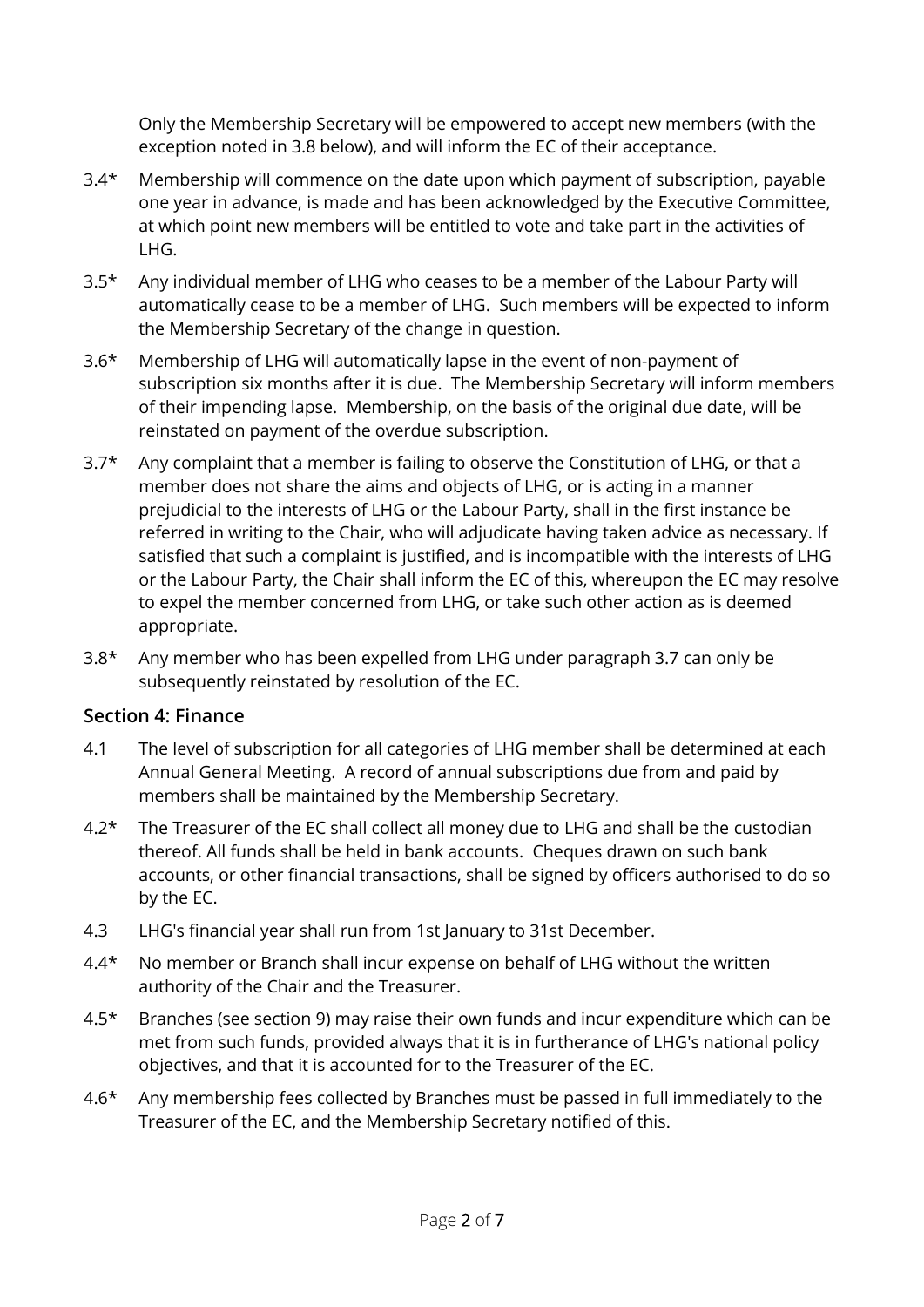Only the Membership Secretary will be empowered to accept new members (with the exception noted in 3.8 below), and will inform the EC of their acceptance.

- 3.4\* Membership will commence on the date upon which payment of subscription, payable one year in advance, is made and has been acknowledged by the Executive Committee, at which point new members will be entitled to vote and take part in the activities of LHG.
- 3.5\* Any individual member of LHG who ceases to be a member of the Labour Party will automatically cease to be a member of LHG. Such members will be expected to inform the Membership Secretary of the change in question.
- 3.6\* Membership of LHG will automatically lapse in the event of non-payment of subscription six months after it is due. The Membership Secretary will inform members of their impending lapse. Membership, on the basis of the original due date, will be reinstated on payment of the overdue subscription.
- $3.7*$  Any complaint that a member is failing to observe the Constitution of LHG, or that a member does not share the aims and objects of LHG, or is acting in a manner prejudicial to the interests of LHG or the Labour Party, shall in the first instance be referred in writing to the Chair, who will adjudicate having taken advice as necessary. If satisfied that such a complaint is justified, and is incompatible with the interests of LHG or the Labour Party, the Chair shall inform the EC of this, whereupon the EC may resolve to expel the member concerned from LHG, or take such other action as is deemed appropriate.
- 3.8\* Any member who has been expelled from LHG under paragraph 3.7 can only be subsequently reinstated by resolution of the EC.

# **Section 4: Finance**

- 4.1 The level of subscription for all categories of LHG member shall be determined at each Annual General Meeting. A record of annual subscriptions due from and paid by members shall be maintained by the Membership Secretary.
- 4.2<sup>\*</sup> The Treasurer of the EC shall collect all money due to LHG and shall be the custodian thereof. All funds shall be held in bank accounts. Cheques drawn on such bank accounts, or other financial transactions, shall be signed by officers authorised to do so by the EC.
- 4.3 LHG's financial year shall run from 1st January to 31st December.
- 4.4\* No member or Branch shall incur expense on behalf of LHG without the written authority of the Chair and the Treasurer.
- 4.5\* Branches (see section 9) may raise their own funds and incur expenditure which can be met from such funds, provided always that it is in furtherance of LHG's national policy objectives, and that it is accounted for to the Treasurer of the EC.
- 4.6\* Any membership fees collected by Branches must be passed in full immediately to the Treasurer of the EC, and the Membership Secretary notified of this.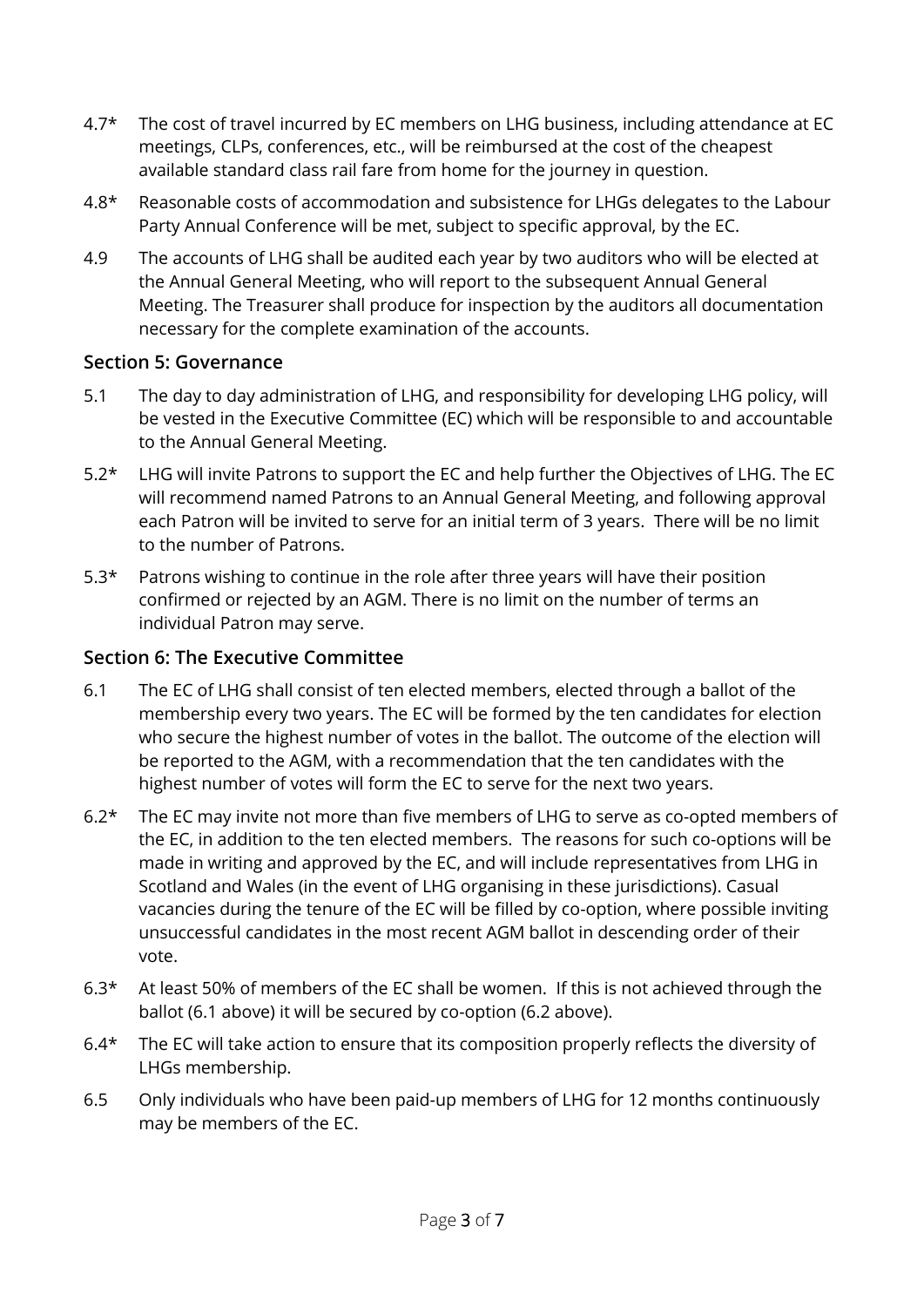- 4.7<sup>\*</sup> The cost of travel incurred by EC members on LHG business, including attendance at EC meetings, CLPs, conferences, etc., will be reimbursed at the cost of the cheapest available standard class rail fare from home for the journey in question.
- 4.8\* Reasonable costs of accommodation and subsistence for LHGs delegates to the Labour Party Annual Conference will be met, subject to specific approval, by the EC.
- 4.9 The accounts of LHG shall be audited each year by two auditors who will be elected at the Annual General Meeting, who will report to the subsequent Annual General Meeting. The Treasurer shall produce for inspection by the auditors all documentation necessary for the complete examination of the accounts.

#### **Section 5: Governance**

- 5.1 The day to day administration of LHG, and responsibility for developing LHG policy, will be vested in the Executive Committee (EC) which will be responsible to and accountable to the Annual General Meeting.
- 5.2\* LHG will invite Patrons to support the EC and help further the Objectives of LHG. The EC will recommend named Patrons to an Annual General Meeting, and following approval each Patron will be invited to serve for an initial term of 3 years. There will be no limit to the number of Patrons.
- 5.3<sup>\*</sup> Patrons wishing to continue in the role after three years will have their position confirmed or rejected by an AGM. There is no limit on the number of terms an individual Patron may serve.

# **Section 6: The Executive Committee**

- 6.1 The EC of LHG shall consist of ten elected members, elected through a ballot of the membership every two years. The EC will be formed by the ten candidates for election who secure the highest number of votes in the ballot. The outcome of the election will be reported to the AGM, with a recommendation that the ten candidates with the highest number of votes will form the EC to serve for the next two years.
- 6.2\* The EC may invite not more than five members of LHG to serve as co-opted members of the EC, in addition to the ten elected members. The reasons for such co-options will be made in writing and approved by the EC, and will include representatives from LHG in Scotland and Wales (in the event of LHG organising in these jurisdictions). Casual vacancies during the tenure of the EC will be filled by co-option, where possible inviting unsuccessful candidates in the most recent AGM ballot in descending order of their vote.
- 6.3\* At least 50% of members of the EC shall be women. If this is not achieved through the ballot (6.1 above) it will be secured by co-option (6.2 above).
- 6.4\* The EC will take action to ensure that its composition properly reflects the diversity of LHGs membership.
- 6.5 Only individuals who have been paid-up members of LHG for 12 months continuously may be members of the EC.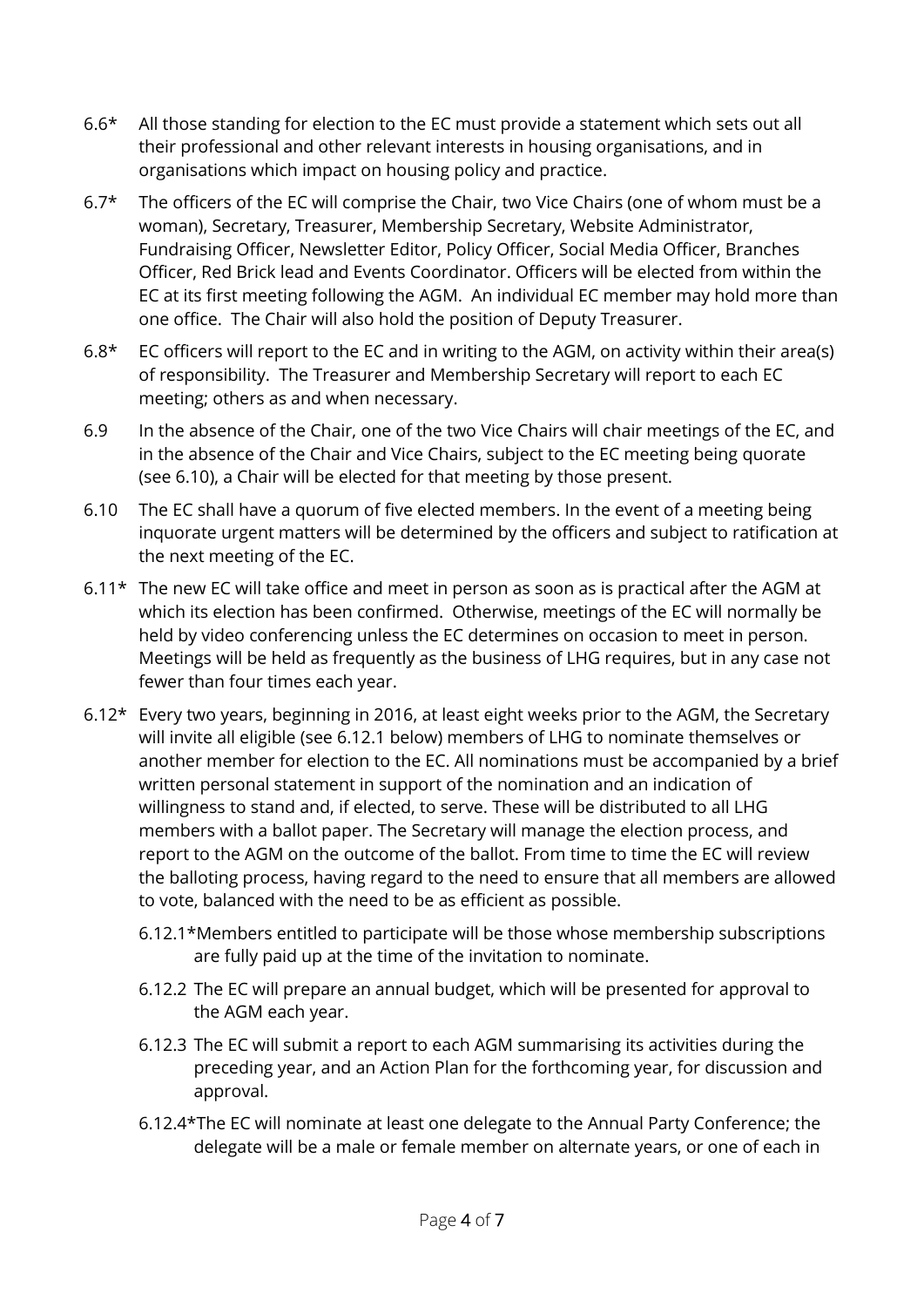- 6.6\* All those standing for election to the EC must provide a statement which sets out all their professional and other relevant interests in housing organisations, and in organisations which impact on housing policy and practice.
- $6.7*$  The officers of the EC will comprise the Chair, two Vice Chairs (one of whom must be a woman), Secretary, Treasurer, Membership Secretary, Website Administrator, Fundraising Officer, Newsletter Editor, Policy Officer, Social Media Officer, Branches Officer, Red Brick lead and Events Coordinator. Officers will be elected from within the EC at its first meeting following the AGM. An individual EC member may hold more than one office. The Chair will also hold the position of Deputy Treasurer.
- 6.8 $*$  EC officers will report to the EC and in writing to the AGM, on activity within their area(s) of responsibility. The Treasurer and Membership Secretary will report to each EC meeting; others as and when necessary.
- 6.9 In the absence of the Chair, one of the two Vice Chairs will chair meetings of the EC, and in the absence of the Chair and Vice Chairs, subject to the EC meeting being quorate (see 6.10), a Chair will be elected for that meeting by those present.
- 6.10 The EC shall have a quorum of five elected members. In the event of a meeting being inquorate urgent matters will be determined by the officers and subject to ratification at the next meeting of the EC.
- 6.11\* The new EC will take office and meet in person as soon as is practical after the AGM at which its election has been confirmed. Otherwise, meetings of the EC will normally be held by video conferencing unless the EC determines on occasion to meet in person. Meetings will be held as frequently as the business of LHG requires, but in any case not fewer than four times each year.
- 6.12\* Every two years, beginning in 2016, at least eight weeks prior to the AGM, the Secretary will invite all eligible (see 6.12.1 below) members of LHG to nominate themselves or another member for election to the EC. All nominations must be accompanied by a brief written personal statement in support of the nomination and an indication of willingness to stand and, if elected, to serve. These will be distributed to all LHG members with a ballot paper. The Secretary will manage the election process, and report to the AGM on the outcome of the ballot. From time to time the EC will review the balloting process, having regard to the need to ensure that all members are allowed to vote, balanced with the need to be as efficient as possible.
	- 6.12.1\*Members entitled to participate will be those whose membership subscriptions are fully paid up at the time of the invitation to nominate.
	- 6.12.2 The EC will prepare an annual budget, which will be presented for approval to the AGM each year.
	- 6.12.3 The EC will submit a report to each AGM summarising its activities during the preceding year, and an Action Plan for the forthcoming year, for discussion and approval.
	- 6.12.4\*The EC will nominate at least one delegate to the Annual Party Conference; the delegate will be a male or female member on alternate years, or one of each in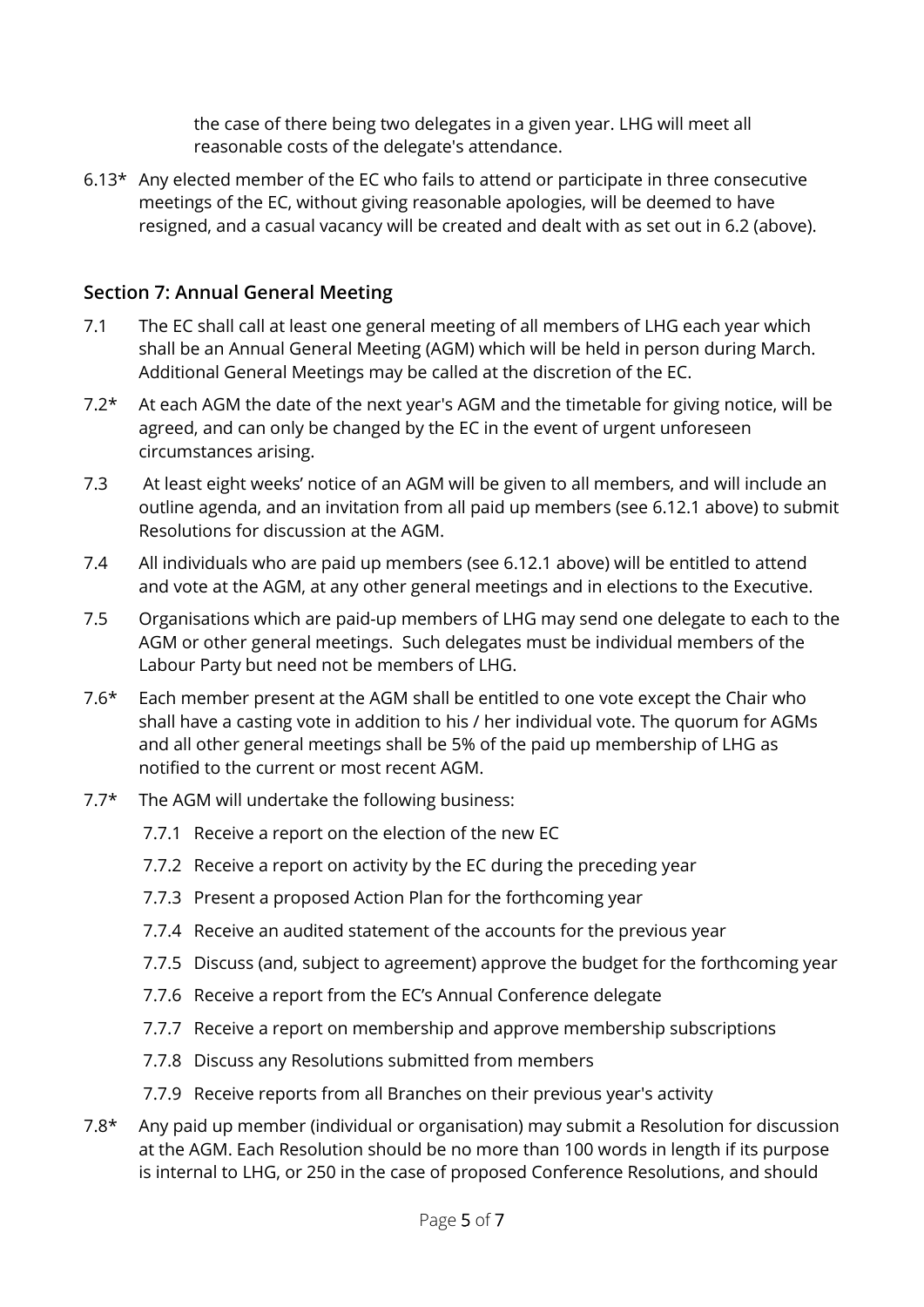the case of there being two delegates in a given year. LHG will meet all reasonable costs of the delegate's attendance.

6.13\* Any elected member of the EC who fails to attend or participate in three consecutive meetings of the EC, without giving reasonable apologies, will be deemed to have resigned, and a casual vacancy will be created and dealt with as set out in 6.2 (above).

# **Section 7: Annual General Meeting**

- 7.1 The EC shall call at least one general meeting of all members of LHG each year which shall be an Annual General Meeting (AGM) which will be held in person during March. Additional General Meetings may be called at the discretion of the EC.
- 7.2\* At each AGM the date of the next year's AGM and the timetable for giving notice, will be agreed, and can only be changed by the EC in the event of urgent unforeseen circumstances arising.
- 7.3 At least eight weeks' notice of an AGM will be given to all members, and will include an outline agenda, and an invitation from all paid up members (see 6.12.1 above) to submit Resolutions for discussion at the AGM.
- 7.4 All individuals who are paid up members (see 6.12.1 above) will be entitled to attend and vote at the AGM, at any other general meetings and in elections to the Executive.
- 7.5 Organisations which are paid-up members of LHG may send one delegate to each to the AGM or other general meetings. Such delegates must be individual members of the Labour Party but need not be members of LHG.
- 7.6\* Each member present at the AGM shall be entitled to one vote except the Chair who shall have a casting vote in addition to his / her individual vote. The quorum for AGMs and all other general meetings shall be 5% of the paid up membership of LHG as notified to the current or most recent AGM.
- 7.7\* The AGM will undertake the following business:
	- 7.7.1 Receive a report on the election of the new EC
	- 7.7.2 Receive a report on activity by the EC during the preceding year
	- 7.7.3 Present a proposed Action Plan for the forthcoming year
	- 7.7.4 Receive an audited statement of the accounts for the previous year
	- 7.7.5 Discuss (and, subject to agreement) approve the budget for the forthcoming year
	- 7.7.6 Receive a report from the EC's Annual Conference delegate
	- 7.7.7 Receive a report on membership and approve membership subscriptions
	- 7.7.8 Discuss any Resolutions submitted from members
	- 7.7.9 Receive reports from all Branches on their previous year's activity
- 7.8\* Any paid up member (individual or organisation) may submit a Resolution for discussion at the AGM. Each Resolution should be no more than 100 words in length if its purpose is internal to LHG, or 250 in the case of proposed Conference Resolutions, and should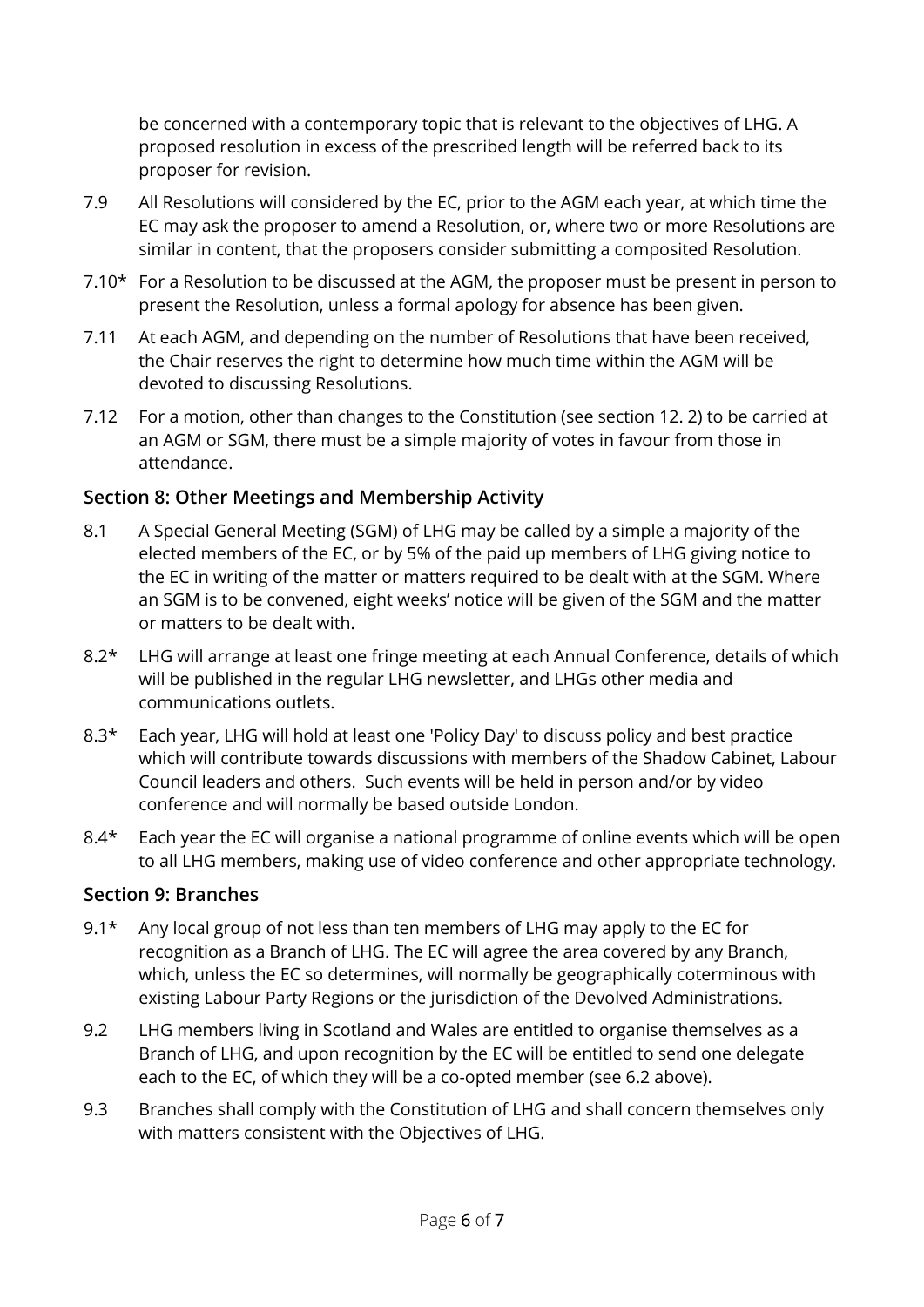be concerned with a contemporary topic that is relevant to the objectives of LHG. A proposed resolution in excess of the prescribed length will be referred back to its proposer for revision.

- 7.9 All Resolutions will considered by the EC, prior to the AGM each year, at which time the EC may ask the proposer to amend a Resolution, or, where two or more Resolutions are similar in content, that the proposers consider submitting a composited Resolution.
- 7.10\* For a Resolution to be discussed at the AGM, the proposer must be present in person to present the Resolution, unless a formal apology for absence has been given.
- 7.11 At each AGM, and depending on the number of Resolutions that have been received, the Chair reserves the right to determine how much time within the AGM will be devoted to discussing Resolutions.
- 7.12 For a motion, other than changes to the Constitution (see section 12. 2) to be carried at an AGM or SGM, there must be a simple majority of votes in favour from those in attendance.

# **Section 8: Other Meetings and Membership Activity**

- 8.1 A Special General Meeting (SGM) of LHG may be called by a simple a majority of the elected members of the EC, or by 5% of the paid up members of LHG giving notice to the EC in writing of the matter or matters required to be dealt with at the SGM. Where an SGM is to be convened, eight weeks' notice will be given of the SGM and the matter or matters to be dealt with.
- 8.2<sup>\*</sup> LHG will arrange at least one fringe meeting at each Annual Conference, details of which will be published in the regular LHG newsletter, and LHGs other media and communications outlets.
- 8.3\* Each year, LHG will hold at least one 'Policy Day' to discuss policy and best practice which will contribute towards discussions with members of the Shadow Cabinet, Labour Council leaders and others. Such events will be held in person and/or by video conference and will normally be based outside London.
- 8.4<sup>\*</sup> Each year the EC will organise a national programme of online events which will be open to all LHG members, making use of video conference and other appropriate technology.

# **Section 9: Branches**

- 9.1<sup>\*</sup> Any local group of not less than ten members of LHG may apply to the EC for recognition as a Branch of LHG. The EC will agree the area covered by any Branch, which, unless the EC so determines, will normally be geographically coterminous with existing Labour Party Regions or the jurisdiction of the Devolved Administrations.
- 9.2 LHG members living in Scotland and Wales are entitled to organise themselves as a Branch of LHG, and upon recognition by the EC will be entitled to send one delegate each to the EC, of which they will be a co-opted member (see 6.2 above).
- 9.3 Branches shall comply with the Constitution of LHG and shall concern themselves only with matters consistent with the Objectives of LHG.